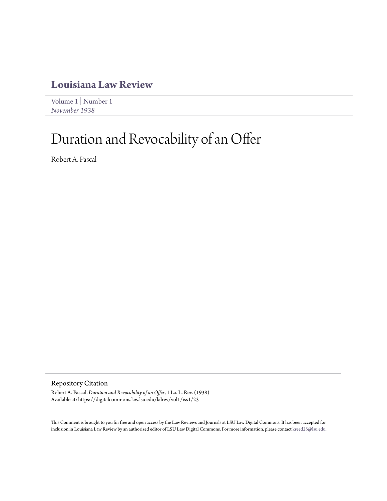# **[Louisiana Law Review](https://digitalcommons.law.lsu.edu/lalrev)**

[Volume 1](https://digitalcommons.law.lsu.edu/lalrev/vol1) | [Number 1](https://digitalcommons.law.lsu.edu/lalrev/vol1/iss1) *[November 1938](https://digitalcommons.law.lsu.edu/lalrev/vol1/iss1)*

# Duration and Revocability of an Offer

Robert A. Pascal

Repository Citation

Robert A. Pascal, *Duration and Revocability of an Offer*, 1 La. L. Rev. (1938) Available at: https://digitalcommons.law.lsu.edu/lalrev/vol1/iss1/23

This Comment is brought to you for free and open access by the Law Reviews and Journals at LSU Law Digital Commons. It has been accepted for inclusion in Louisiana Law Review by an authorized editor of LSU Law Digital Commons. For more information, please contact [kreed25@lsu.edu](mailto:kreed25@lsu.edu).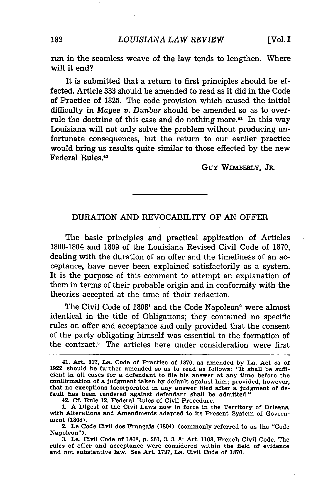run in the seamless weave of the law tends to lengthen. Where will it end?

It is submitted that a return to first principles should be effected. Article 333 should be amended to read as it did in the Code of Practice of 1825. The code provision which caused the initial difficulty in *Magee v. Dunbar* should be amended so as to overrule the doctrine of this case and do nothing more.<sup>41</sup> In this way Louisiana will not only solve the problem without producing unfortunate consequences, but the return to our earlier practice would bring us results quite similar to those effected by the new Federal Rules.<sup>42</sup>

Guy WIMBERLY, JR.

# DURATION **AND** REVOCABILITY OF **AN** OFFER

The basic principles and practical application of Articles **1800-1804** and **1809** of the Louisiana Revised Civil Code of **1870,** dealing with the duration of an offer and the timeliness of an acceptance, have never been explained satisfactorily as a system. It is the purpose of this comment to attempt an explanation of them in terms of their probable origin and in conformity with the theories accepted at the time of their redaction.

The Civil Code of 1808<sup>1</sup> and the Code Napoleon<sup>2</sup> were almost identical in the title of Obligations; they contained no specific rules on offer and acceptance and only provided that the consent of the party obligating himself was essential to the formation of the contract.' The articles here under consideration were first

<sup>41.</sup> Art. **317,** La. Code of Practice of **1870,** as amended **by** La. Act 85 of 1922, should be further amended so as to read as follows: "It shall be suffi**cient** in all cases for a defendant to file his answer at any time before the confiirmation of a judgment taken **by** default against him; provided, however, that no exceptions incorporated in any answer filed after a judgment of default has been rendered against defendant shall be admitted."

<sup>42.</sup> **Cf.** Rule 12, Federal Rules of Civil Procedure. **1. A** Digest of the Civil Laws now in force in the Territory of Orleans, with Alterations and Amendments adapted to its Present System of Government **(1808).**

<sup>2.</sup> Le Code Civil des Frangais (1804) (commonly referred to as the "Code Napoleon").

**<sup>3.</sup>** La. Civil Code of **1808,** p. 261, **3. 3. 8;** Art. 1108, French Civil Code. The rules of offer and acceptance were considered within the field of evidence and not substantive law. See Art. 1797, La. Civil Code of 1870.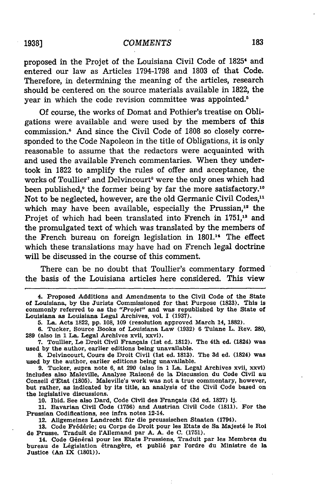# **1938]** *COMMENTS*

proposed in the Projet of the Louisiana Civil Code of **18254** and entered our law as Articles **1794-1798** and **1803** of that Code. Therefore, in determining the meaning of the articles, research should be centered on the source materials available in **1822,** the year in which the code revision committee was appointed.<sup>5</sup>

Of course, the works of Domat and Pothier's treatise on Obligations were available and were used **by** the members of this commission. 6 And since the Civil Code of **1808** so closely corresponded to the Code Napoleon in the title of Obligations, it is only reasonable to assume that the redactors were acquainted with and used the available French commentaries. When they undertook in 1822 to amplify the rules of offer and acceptance, the works of Toullier<sup>7</sup> and Delvincourt<sup>8</sup> were the only ones which had been published,<sup>9</sup> the former being by far the more satisfactory.<sup>10</sup> Not to be neglected, however, are the old Germanic Civil Codes,<sup>11</sup> which may have been available, especially the Prussian, $12$  the Projet of which had been translated into French in **1751,18** and the promulgated text of which was translated **by** the members of the French bureau on foreign legislation in 1801.14 The effect which these translations may have had on French legal doctrine will be discussed in the course of this comment.

There can be no doubt that Toullier's commentary formed the basis of the Louisiana articles here considered. This view

**10.** Ibid. See also Dard, Code Civil des Frangais **(3d** ed. **1827) ij.**

**11.** Bavarian Civil Code **(1756)** and Austrian Civil Code **(1811).** For the Prussian Codifications, see infra notes 12-14.

12. Allgemeines Landrecht für die preussischen Staaten (1794).

13. Code Frédéric; ou Corps de Droit pour les Etats de Sa Majesté le Roi de Prusse. Traduit de 'Allemand par **A. A.** de **C. (1751).**

14. Code Général pour les Etats Prussiens, Traduit par les Membres du bureau de Législation étrangère, et publié par l'ordre du Ministre de la Justice (An IX **(1801)).**

<sup>4.</sup> Proposed Additions and Amendments to the Civil Code of the State of Louisiana, **by** the Jurists Commissioned for that Purpose **(1823).** This Is commonly referred to as the *"'Projet"* and was republished **by** the State of Louisiana as Louisiana Legal Archives, vol. **I (1937).**

**<sup>5.</sup>** La. Acts **1822, pp. 108, 109** (resolution approved March **14, 1882).**

**<sup>6.</sup>** Tucker, Source Books of Louisiana Law **(1932) 6** Tulane L. Rev. **280, 289** (also in **1** La. Legal Archives xvii, xxvi).

**<sup>7.</sup>** Toullier, Le Droit Civil Frangais (1st ed. 1812). The 4th ed. (1824) was used **by** the author, earlier editions being unavailable.

**<sup>8.</sup>** Delvincourt, Cours de Droit Civil (1st ed. **1813).** The **3d** ed. (1824) was used **by** the author, earlier editions being unavailable.

**<sup>9.</sup>** Tucker, supra note **6,** at **290** (also in **1** La. Legal Archives xvii, xxvi) includes also Maleville, Analyse Raison6 de la Discussion du Code Civil au Conseil d'Etat **(1805).** Maleville's work was not a true commentary, however, but rather, as indicated **by** its title, an analysis of the Civil Code based on the legislative discussions.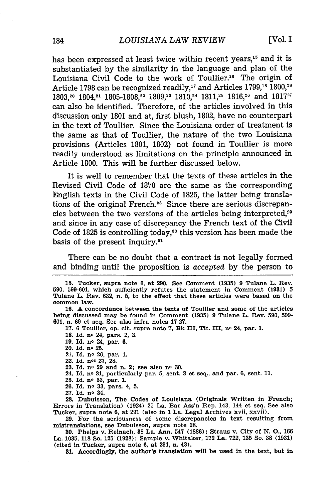has been expressed at least twice within recent years,<sup>15</sup> and it is substantiated by the similarity in the language and plan of the Louisiana Civil Code to the work of Toullier.<sup>16</sup> The origin of Article 1798 can be recognized readily,<sup>17</sup> and Articles 1799,<sup>18</sup> 1800,<sup>19</sup> 1803,<sup>20</sup> 1804,<sup>21</sup> 1805-1808,<sup>22</sup> 1809,<sup>23</sup> 1810,<sup>24</sup> 1811,<sup>25</sup> 1816,<sup>26</sup> and 1817<sup>2</sup> can also be identified. Therefore, of the articles involved in this discussion only 1801 and at, first blush, 1802, have no counterpart in the text of Toullier. Since the Louisiana order of treatment is the same as that of Toullier, the nature of the two Louisiana provisions (Articles 1801, 1802) not found in Toullier is more readily understood as limitations on the principle announced in Article 1800. This will be further discussed below.

It is well to remember that the texts of these articles in the Revised Civil Code of 1870 are the same as the corresponding English texts in the Civil Code of 1825, the latter being translations of the original French.28 Since there are serious discrepancies between the two versions of the articles being interpreted,<sup>29</sup> and since in any case of discrepancy the French text of the Civil Code of 1825 is controlling today,<sup>80</sup> this version has been made the basis of the present inquiry.<sup>31</sup>

There can be no doubt that a contract is not legally formed and binding until the proposition is *accepted* by the person to

**16. A** concordance between the texts of Toullier and some of the articles being discussed may be found in Comment **(1935) 9** Tulane L. Rev. **590, 599- 601,** n. **69** et seq. See also infra notes **17-27.**

**17. 6** Toullier, op. cit. supra note **7, Bk** III, Tit. III, no 24, par. **1.**

**18. Id.** no 24, pars. 2, **3.**

**19.** Id. no 24, par. **6.**

20. Id. no **25.**

21. Id. no **26,** par. **1.** 22. Id. nos **27, 28.**

**23.** Id. no **29** and n. 2; see also no **30.**

24. Id. no **31,** particularly par. **5,** sent. **3** et seq., and par. **6,** sent. **11.**

**25.** Id. no **33,** par. **1.**

**26. Id.** no **33,** pars. 4, **5.**

**27. Id.** no 34.

**28.** Dubuisson, The Codes of Louisiana (Originals Written in French; Errors in Translation) (1924) **25** La. Bar Ass'n Rep. 143, 144 et seq. See also Tucker, supra note **6,** at **291** (also in **1** La. Legal Archives xvii, xxvii).

**29.** For the seriousness of some discrepancies in text resulting from mistranslations, see Dubuisson, supra note **28.**

**30.** Phelps v. Reinach, **38** La. Ann. 547 **(1886);** Straus v. City of **N. 0., 166** La. **1035, 118** So. **125 (1928);** Sample v. Whitaker, **172** La. 722, **135** So. **38 (1931)** (cited in Tucker, supra note **6,** at **291,** n. 43).

**31.** Accordingly, the author's translation will be used in the text, but in

**<sup>15.</sup>** Tucker, supra note **6,** at **290.** See Comment **(1935) 9** Tulane L. Rev. **590, 599-601,** which sufficiently refutes the statement in Comment **(1931) 5** Tulane L. Rev. **632,** n. **5,** to the effect that these articles were based on the common law.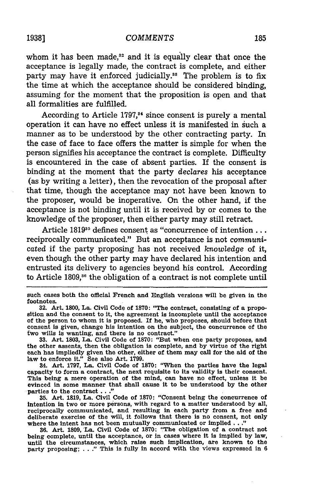whom it has been made, $^{32}$  and it is equally clear that once the acceptance is legally made, the contract is complete, and either party may have it enforced judicially.<sup>38</sup> The problem is to fix the time at which the acceptance should be considered binding, assuming for the moment that the proposition is open and that all formalities are fulfilled.

According to Article **1797,3<sup>4</sup>**since consent is purely a mental operation it can have no effect unless it is manifested in such a manner as to be understood by the other contracting party. In the case of face to face offers the matter is simple for when the person signifies his acceptance the contract is complete. Difficulty is encountered in the case of absent parties. If the consent is binding at the moment that the party *declares* his acceptance (as by writing a letter), then the revocation of the proposal after that time, though the acceptance may not have been known to the proposer, would be inoperative. On the other hand, if the acceptance is not binding until it is received by or comes to the knowledge of the proposer, then either party may still retract.

Article **181935** defines consent as "concurrence of intention... reciprocally communicated." But an acceptance is not *communicated* if the party proposing has not received *knowledge* of it, even though the other party may have declared his intention and entrusted its delivery to agencies beyond his control. According to Article 1809,<sup>36</sup> the obligation of a contract is not complete until

**33.** Art. **1803,** La. Civil Code of **1870:** "But when one party proposes, and the other assents, then the obligation is complete, and **by** virtue of the right each has impliedly given the other, either of them may call for the aid of the law to enforce it." See also Art. **1799.**

34. Art. **1797,** La. Civil Code of **1870:** "When the parties have the legal capacity to form a contract, the next requisite to its validity is their consent. This being a mere operation of the mind, can have no effect, unless it be evinced in some manner that shall cause it to be understood **by** the other parties to the contract **..."**

**35.** Art. **1819,** La. Civil Code of **1870:** "Consent being the concurrence of intention in two or more persons, with regard to a matter understood by all, reciprocally communicated, and resulting in each party from a free and deliberate exercise of the will, it follows that there is no consent, not where the intent has not been mutually communicated or implied. **.. "**

**36.** Art. 1809, La. Civil Code of **1870:** "The obligation of a contract not being complete, until the acceptance, or In cases where it is implied **by** law, until the circumstances, which raise such implication, are known to the party proposing; **. . ."** This is fully in accord with the views expressed in **<sup>6</sup>**

such cases both the official French and English versions will be given in the footnotes.

**<sup>32.</sup>** Art. **1800,** La. Civil Code of **1870:** "The contract, consisting of a proposition and the consent to it, the agreement is Incomplete until the acceptance of the person to whom it is proposed. **If** he, who proposes, should before that consent is given, change his intention on the subject, the concurrence of the two wills is wanting, and there is no contract."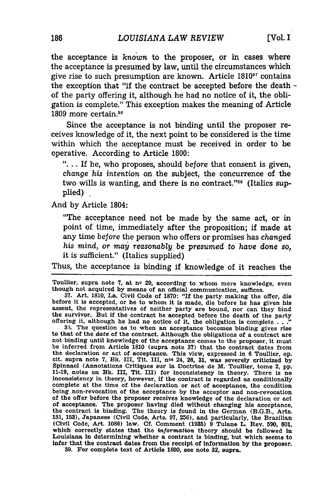the acceptance is *known* to the proposer, or in cases where the acceptance is presumed by law, until the circumstances which give rise to such presumption are known. Article 1810<sup>37</sup> contains the exception that "if the contract be accepted before the death  of the party offering it, although he had no notice of it, the obligation is complete." This exception makes the meaning of Article 1809 more certain.<sup>38</sup>

Since the acceptance is not binding until the proposer receives knowledge of it, the next point to be considered is the time within which the acceptance must be received in order to be operative. According to Article 1800:

**"....** If he, who proposes, should *before* that consent is given, *change his intention* on the subject, the concurrence of the two wills is wanting, and there is no contract."39 (Italics supplied)

And by Article 1804:

"The acceptance need not be made by the same act, or in point of time, immediately after the proposition; if made at any time *before* the person who offers or promises has *changed his mind, or* may *reasonably be presumed to have done so,* it is sufficient." (Italics supplied)

Thus, the acceptance is binding if knowledge of it reaches the

Toullier, supra note 7, at no 29, according to whom mere knowledge, even though not acquired by means of an official communication, suffices.

37. Art. 1810, La. Civil Code of 1870: "If the party making the offer, die before it is accepted, or he to whom it is made, die before he has given his assent, the representatives of neither party are bound, nor can they bind the survivor. But if the contract be accepted before the death of the party offering it, although he had no notice of it, the obligation is complete . . **."**

33. The question as to when an acceptance becomes binding gives rise to that of the date of the contract. Although the obligations of a contract are not binding until knowledge of the acceptance comes to the proposer, it must be inferred from Article 1810 (supra note **37)** that the contract dates from the declaration or act of acceptance. This view, expressed in 6 Toullier, op.<br>cit. supra note 7, Bk. III, Tit. III, n° 24, 26, 31, was severely criticized by<br>Spinnael (Annotations Critiques sur la Doctrine de M. Toullier, 11-19, notes on Bk. III, Tit. III) for inconsistency in theory. There is no inconsistency in theory, however, if the contract is regarded as conditionally inconsistency in theory, however, if the contract is regarded as conditionally complete at the time of the declaration or act of acceptance, the condition being non-revocation of the acceptance by the acceptor and non-revocation of the offer before the proposer receives knowledge of the declaration or act of acceptance. The proposer having died without changing his acceptance, the contract is binding. The theory is found in the German (B.G.B., Arts. 151, **153),** Japanese (Civil Code, Arts. 97, 256), and particularly, the Brazilian (Civil Code, Art. 1088) law. **Cf.** Comment (1935) 9 Tulane L. Rev. 590, 601, which correctly states that the *information* theory should be followed in Louisiana in determining whether a contract is binding, but which seems to infer that the contract dates from the receipt of information by the proposer. **39.** For complete text of Article 1800, see note 32, supra.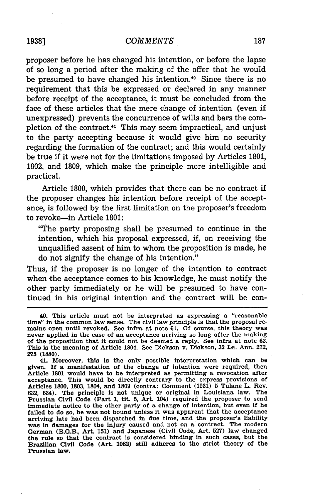proposer before he has changed his intention, or before the lapse of so long a period after the making of the offer that he would be presumed to have changed his intention.<sup>40</sup> Since there is no requirement that this be expressed or declared in any manner before receipt of the acceptance, it must be concluded from the face of these articles that the mere change of intention (even if unexpressed) prevents the concurrence of wills and bars the completion of the contract.<sup>41</sup> This may seem impractical, and unjust to the party accepting because it would give him no security regarding the formation of the contract; and this would certainly be true if it were not for the limitations imposed by Articles 1801, 1802, and 1809, which make the principle more intelligible and practical.

Article 1800, which provides that there can be no contract if the proposer changes his intention before receipt of the acceptance, is followed by the first limitation on the proposer's freedom to revoke-in Article 1801:

"The party proposing shall be presumed to continue in the intention, which his proposal expressed, if, on receiving the unqualified assent of him to whom the proposition is made, he do not signify the change of his intention."

Thus, if the proposer is no longer of the intention to contract when the acceptance comes to his knowledge, he must notify the other party immediately or he will be presumed to have continued in his original intention and the contract will be con-

<sup>40.</sup> This article must not be interpreted as expressing a "reasonable time" in the common law sense. The civil law principle is that the proposal remains open until revoked. See infra at note **61. Of** course, this theory was never applied in the case of an acceptance arriving so long after the making of the proposition that it could not be deemed a reply. See infra at note **62.** This is the meaning of Article 1804. See Dickson v. Dickson, 32 La. Ann. 272, **275 (1880).**

<sup>41.</sup> Moreover, this is the only possible interpretation which can be given. **If** a manifestation of the change of intention were required, then Article **1801** would have to be interpreted as permitting a revocation after acceptance. This would be directly contrary to the express provisions of Articles **1800, 1803,** 1804, and **1809** (contra: Comment **(1931) 5** Tulane L. Rev. **632,** 634). The principle is not unique or original in Louisiana law. The Prussian Civil Code (Part **1,** tit. **5,** Art. 104) required the proposer to send immediate notice to the other party of a change of intention, but even if he failed to do so, he was not bound unless it was apparent that the acceptance arriving late had been dispatched in due time, and the proposer's liability was in damages for the injury caused and not on a contract. The modern German (B.G.B., Art. 151) and Japanese (Civil Code, Art. 527) law changed<br>the rule so that the contract is considered binding in such cases, but the<br>Brazilian Civil Code (Art. 1082) still adheres to the strict theory of th Prussian law.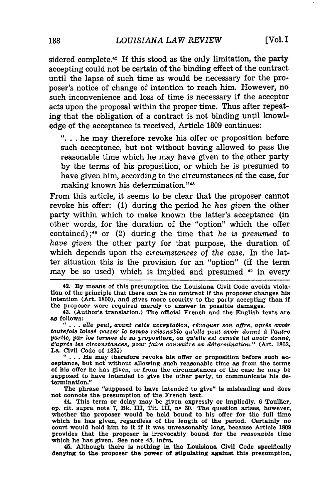sidered complete.<sup>42</sup> If this stood as the only limitation, the party accepting could not be certain of the binding effect of the contract until the lapse of such time as would be necessary for the proposer's notice of change of intention to reach him. However, no such inconvenience and loss of time is necessary if the acceptor acts upon the proposal within the proper time. Thus after repeating that the obligation of a contract is not binding until knowledge of the acceptance is received, Article **1809** continues:

**"...** he may therefore revoke his offer or proposition before such acceptance, but not without having allowed to pass the reasonable time which he may have given to the other party **by** the terms of his proposition, or which he is presumed to have given him, according to the circumstances of the case, for making known his determination."<sup>48</sup>

From this article, it seems to be clear that the proposer cannot revoke his offer: **(1)** during the period he *has given* the other party within which to make known the latter's acceptance (in other words, for the duration of the "option" which the offer contained) **;44** or (2) during the time that *he is presumed* to have *given* the other party for that purpose, the duration of which depends upon the *circumstances of the case.* In the latter situation this is the provision for an "option" (if the term may be so used) which is implied and presumed <sup>45</sup> in every

42. **By** means of this presumption the Louisiana Civil Code avoids violation of the principle that there can be no contract if the proposer changes his intention (Art. **1800),** and gives more security to the party accepting than if the proposer were required merely to answer in possible damages.

43. (Author's translation.) The official French and the English texts are **as follows:**

**" ...**ells *pet, avant cette acceptation, rdvoquer son offre, aprds avoir toutefois laissd passer le temps raisonable qu'elle peut avoir donnd* **d** *l'autre partie, par* **les** *termes de sa proposition,* **ou** *qu'eell* est *censde* liu *avoir donnd, d'aprds* les *circonstances, pour faire connaltre sa determination."* (Art. **1803,** La. Civil Code of **1825) " ...**He may therefore revoke his offer or proposition before such ac-

ceptance, but not without allowing such reasonable time as from the terms of his offer he has given, or from the circumstances of the case he may be supposed to have intended to give the other party, to communicate his determination."

The phrase "supposed to have intended to give" is misleading and does not connote the presumption of the French text.

44. This term or delay may be given expressly or Impliedly. **6** Toullier, **op.** cit. supra note **7,** *Bk.* III, Tit. III, no **30.** The question arises, however, whether the proposer would be held bound to his offer for the full time which he has given, regardless of the length of the period. Certainly no court would hold him to It if it was unreasonably long, because Article **1809** provides that the proposer is Irrevocably bound for the *reasonable* time which he has given. See note 45, infra.

45. Although there is nothing in the Louisiana Civil Code specifically denying to the proposer the power of stipulating against this presumption,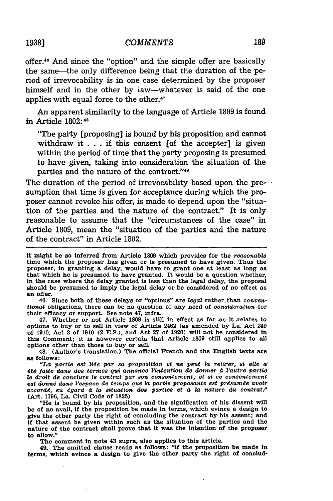offer.4" And since the "option" and the simple offer are basically the same-the only difference being that the duration of the period of irrevocability is in one case determined **by** the proposer himself and in the other **by** law-whatever is said of the one applies with equal force to the other.<sup>47</sup>

An apparent similarity to the language of Article **1809** is found in Article **1802:48**

"The party [proposing] is bound by his proposition and cannot withdraw it . . . if this consent [of the accepter] is given within the period of time that the party proposing is presumed to have given, taking into consideration the situation of the parties and the nature of the contract."<sup>49</sup>

The duration of the period of irrevocability based upon the presumption that time is given for acceptance during which the proposer cannot revoke his offer, is made to depend upon the "situation of the parties and the nature of the contract." It is only reasonable to assume that the "circumstances of the case" in Article 1809, mean the "situation of the parties and the nature of the contract" in Article 1802.

it might be so inferred from Article **1809** which provides for the *reasonable* time which the proposer has given or is presumed to have given. Thus the proposer, in granting a delay, would have to grant one at least as long as that which he is presumed to have granted. It would be a question whether, in the case where the delay granted is less than the legal delay, the proposal should be presumed to imply the legal delay or be considered of no effect as an offer.

46. Since both of these delays or "options" are *legal* rather than *conventional* obligations, there can be no question of any need of *consideration* for their efficacy or support. See note 47, infra.

47. Whether or not Article **1809** is still in effect as far as it relates to options to buy or to sell in view of Article 2462 (as amended **by** La. Act 249 of **1910,** Act **3** of **1910** (2 **E.S.),** and Act **27** of **1920)** will not be considered in this Comment; it is however certain that Article **1809** still applies to all options other than those to buy or sell.

48. (Author's translation.) The official French and the English texts are as **follows:**

*"La partie est ZWde* par *sa* proposition ot *ne peut la retirer, a4 else a dtd faite dana des termes qui annonce l'intsntion de donner d l'autro partie to droit de conclure Io contrat par son consentement; et si 0e consentement est donngi dans 'espace de temps que la partie proposante est prdsumde avoir accord6, eu 6gard* **4** *la situation des parties et 4 la nature du contrat."* (Art. 1796, La. Civil Code of **1825)**

"He is bound by his proposition, and the signification of his dissent will be of no avail, if the proposition be made in terms, which evince a design to give the other party the right of concluding the contract by his assent; and **if** that assent be given within such as the situation of the parties and the nature of the contract shall prove that it was the intention of the proposer to allow."

The comment in note 43 supra, also applies to this article.

49. The omitted clause reads as follows: "if the proposition be made in terms, which evince a design to give the other party the right of conclud-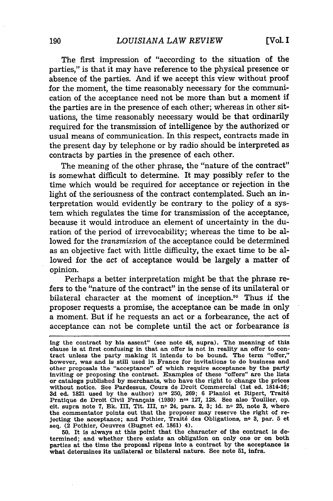The first impression of "according to the situation of the parties," is that it may have reference to the physical presence or absence of the parties. And if we accept this view without proof for the moment, the time reasonably necessary for the communication of the acceptance need not be more than but a moment if the parties are in the presence of each other; whereas in other situations, the time reasonably necessary would be that ordinarily required for the transmission of intelligence by the authorized or usual means of communication. In this respect, contracts made in the present day by telephone or by radio should be interpreted as contracts by parties in the presence of each other.

The meaning of the other phrase, the "nature of the contract" is somewhat difficult to determine. It may possibly refer to the time which would be required for acceptance or rejection in the light of the seriousness of the contract contemplated. Such an interpretation would evidently be contrary to the policy of a system which regulates the time for transmission of the acceptance, because it would introduce an element of uncertainty in the duration of the period of irrevocability; whereas the time to be allowed for the *transmission* of the acceptance could be determined as an objective fact with little difficulty, the exact time to be allowed for the *act* of acceptance would be largely a matter of opinion.

Perhaps a better interpretation might be that the phrase refers to the "nature of the contract" in the sense of its unilateral or bilateral character at the moment of inception.<sup>50</sup> Thus if the proposer requests a promise, the acceptance can be made in only a moment. But if he requests an act or a forbearance, the act of acceptance can not be complete until the act or forbearance is

**50.** It is always at this point that the character of the contract is determined; and whether there exists an obligation on only one or on both parties at the time the proposal ripens into a contract **by** the acceptance is what determines its unilateral or bilateral nature. See note **51,** infra.

ing the contract by his assent" (see note 48, supra). The meaning of this clause is at first confusing in that an offer is not in reality an offer to contract unless the party making it intends to be bound. The term "offer," however, was and is still used in France for invitations to do business and other proposals the "acceptance" of which require acceptance **by** the party inviting or proposing the contract. Examples of these "offers" are the lists or catalogs published **by** merchants, who have the right to change the prices without notice. See Pardessus, Cours de Droit Commercial (1st ed. 1814-16; **3d** ed. **1821** used **by** the author) nos 250, **269; 6** Planiol et Ripert, Trait6 Pratique de Droit Civil Frangais **(1930)** nos **127, 128.** See also Toullier, op. cit. supra note **7, Bk.** III, Tit. III, no 24, pars. 2, **3; Id.** no **25,** note **3,** where the commentator points out that the proposer may reserve the right of rejecting the acceptance; and Pothier, Trait6 des Obligations, no **3,** par. **5** et seq. (2 Pothier, Oeuvres (Bugnet ed. **1861)** 4).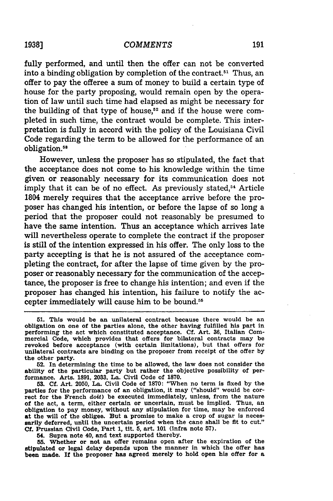#### *COMMENTS*

fully performed, and until then the offer can not be converted into a binding obligation by completion of the contract.<sup>51</sup> Thus, an offer to pay the offeree a sum of money to build a certain type of house for the party proposing, would remain open by the operation of law until such time had elapsed as might be necessary for the building of that type of house,<sup>52</sup> and if the house were completed in such time, the contract would be complete. This interpretation is fully in accord with the policy of the Louisiana Civil Code regarding the term to be allowed for the performance of an obligation.<sup>58</sup>

However, unless the proposer has so stipulated, the fact that the acceptance does not come to- his knowledge within the time given or reasonably necessary for its communication does not imply that it can be of no effect. As previously stated,<sup>54</sup> Article 1804 merely requires that the acceptance arrive before the proposer has changed his intention, or before the lapse of so long a period that the proposer could not reasonably be presumed to have the same intention. Thus an acceptance which arrives late will nevertheless operate to complete the contract if the proposer is still of the intention expressed in his offer. The only loss to the party accepting is that he is not assured of the acceptance completing the contract, for after the lapse of time given by the proposer or reasonably necessary for the communication of the acceptance, the proposer is free to change his intention; and even if the proposer has changed his intention, his failure to notify the accepter immediately will cause him to be bound.55

**52.** In determining the time to be allowed, the law does not consider the ability of the particular party but rather the objective possibility of performance. Arts. 1891, 2033, **La.** Civil Code of **1870.**

**53. Cf.** Art. 2050, La. Civil Code of **1870:** "When no term is fixed by the parties for the performance of an obligation, it may ("should" would be correct for the French doit) be executed immediately, unless, from the nature of the act, a term, either certain or uncertain, must be implied. Thus, an obligation to pay money, without any stipulation for time, may be enforced at the will of the obligee. But a promise to make a crop of sugar is necessarily deferred, until the uncertain period when the cane shall be fit to cut." **Cf.** Prussian Civil Code, Part 1, tit. **5,** art. 101 (Infra note **57).**

54. Supra note 40, and text supported thereby.

**55.** Whether or not an offer remains open after the expiration of the stipulated or legal delay depends upon the manner in which the offer has been made. If the proposer has agreed merely to hold open his offer for a

**<sup>51.</sup>** This would be an unilateral contract because there would be an obligation on one of the parties alone, the other having fulfilled his part in performing the act which constituted acceptance. **Cf.** Art. **36,** Italian Commercial Code, which provides that offers for bilateral contracts may be revoked before acceptance (with certain limitations), but that offers for unilateral contracts are binding on the proposer from receipt of the offer by the other party.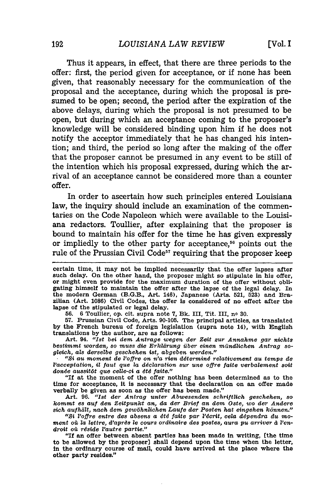Thus it appears, in effect, that there are three periods to the offer: first, the period given for acceptance, or if none has been given, that reasonably necessary for the communication of the proposal and the acceptance, during which the proposal is presumed to be open; second, the period after the expiration of the above delays, during which the proposal is not presumed to be open, but during which an acceptance coming to the proposer's knowledge will be considered binding upon him if he does not notify the acceptor immediately that he has changed his intention; and third, the period so long after the making of the offer that the proposer cannot be presumed in any event to be still of the intention which his proposal expressed, during which the arrival of an acceptance cannot be considered more than a counter offer.

In order to ascertain how such principles entered Louisiana law, the inquiry should include an examination of the commentaries on the Code Napoleon which were available to the Louisiana redactors. Toullier, after explaining that the proposer is bound to maintain his offer for the time he has given expressly or impliedly to the other party for acceptance, $56$  points out the rule of the Prussian Civil Code<sup>57</sup> requiring that the proposer keep

56. 6 Toullier, op. cit. supra note **7,** Bk. III, Tit. III, no **30.**

57. Prussian Civil Code, Arts. 90-105. The principal articles, as translated by the French bureau of foreign legislation (supra note 14), with English translations by the author, are as follows:

Art. 94. *"Ist bei dem Antrage wegen der Zeit zur Annahme gar nichts bestimmt worden, so muss die Erkirung iber einen mtindlichen Antrag* so*gleich, als derselbe geschehen 1st, abgeben werden."*

*" Si au moment de l'offre on n'a rien ddtermind relativement au temps de 1'acceptatlon, il faut que la ddclaration sur une offre faite verbalement soit* donée aussitôt que celle-ci a été faite."

"If at the moment of the offer nothing has been determined as to the time for acceptance, it is necessary that the declaration on an offer made verbally be given as soon as the offer has been made."

Art. **96.** *"Ist der Antrag unter* Abwesenden *schriftlich geschehen, so kommt es au den Zeitpunkt an, da der Brief an dem Oste, wo der Andere sich auhalt, nach dem gew6hnlichen Laufe der Posten hat eingehen konnen."*

"Si l'offre entre des absens a été faite par l'écrit, cela dépendra du moment où la lettre, d'après le cours ordinaire des postes, aura pu arriver à l'en*droit o4 reside L'autre partle."*

**"If** an offer between absent parties has been made in writing, [the time to be allowed by the proposer] shall depend upon the time when the letter, in the ordinary course of mail, could have arrived at the place where the other party resides."

certain time, it may not be implied necessarily that the offer lapses after such delay. On the other hand, the proposer might so stipulate in his offer, or might even provide for the maximum duration of the offer without obligating himself to maintain the offer after the lapse of the legal delay. In the modern German (B.G.B., Art. 146), Japanese (Arts. 521, 523) and Brazilian (Art. 1086) Civil Codes, the offer is considered of no effect after the lapse of the stipulated or legal delay.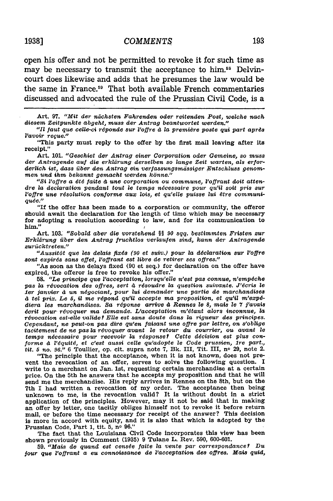open his offer and not be permitted to revoke it for such time as may be necessary to transmit the acceptance to him.<sup>58</sup> Delvincourt does likewise and adds that he presumes the law would be the same in France.<sup>59</sup> That both available French commentaries discussed and advocated the rule of the Prussian Civil Code, is a

Art. **97.** *"Mit der niichsten Fahrenden oder reitenden Post, welche nach* diesem *Zeitpunkte abgeht, muss der Antrag beantwortet werden."1*

*"Il faut que celle-ci r6ponde sur l'ofire 4 la* premidre *posts* qui *part aprds 'avoir regue."*

"This party must reply to the offer by the first mail leaving after its receipt."

Art. 101. *"Gesohiet der Antrag einer Corporation oder Gemeine, so muss der Antragende auf die erklirung derselben so lange Zeit warten, als er/orderlich ist, dass* fiber *den Antrag sin verfassungsmdssiger Entschluss genommen und* im *bekannt gemacht werden kanne."*

*"Si l'offre a dtd faite d une corporation ou commune, Poffrant doit atten*dre la declaration pendant tout le temps nécessaire pour qu'il soit pris sur l'offre **une** *rdsolution conforme* **aux** *lois, et qu'elle puisse lui 6tre communiques."*

"If the offer has been made to a corporation or community, the offeror should await the declaration for the length of time which may be necessary for adopting a resolution according to law, and for its communication to him."

Art. 103. *"Bobald aber die vorstehend §§ 90 sqq. bestimmten Fristen zur Erklarung* fiber *den Antrag fruchtlos verlaufen sind, kann der Antragende zuriicktreten."*

*"AussitOt* quo *les delais* fixds *(90 et suiv.) pour la declaration sur P'ofire sont expires sans effet, Pofjrant est libre de retirer ses offres."*

"As soon as the delays fixed (90 et seq.) for declaration on the offer have expired, the offeror is free to revoke his offer."

**58.** *"Le principe que Pacceptation, lorsqu'elle n'est pas connue, n'empdche pas la rdvocation des offres,* sert *4 rdsoudre la question suivante. J'dcris* le *ler janvier* **d** *un n~gociant, pour lui demander une partie de marchandises 4 tel prix. Le 5, il me rdpond qu'il accepts ma proposition, et qu'il m'exp6 diera les marchandises.* Sa *rtponse arrive 4 Rennes le 8, mats Is 7 j'avais 4crit pour rdvoquer ma demands. L'acceptation m'dtant alors inconnue, la rdvocation est-elle valide?* Ells *est sans doute dans* la *rigueur des principes. Cependant, ne peut-on pas dire qu'en faisant une ofire par lettre, on s'oblige tacitement de ne pas la rdvoquer avant* le *retour du courrier, ou avant* **le** *temps ndcessaire pour recevoir la rdsponse? Cette d6cision est plus conforme 4 i'dquitd, et c'est aussi cells qu'adopte le Code prussien,* 1re *part., tit. 5 no. 96."* 6 Toullier, op. cit. supra note 7, Bk. III, Tit. III, **no** 29, note 2.

"The principle that the acceptance, when it is not known, does not prevent the revocation of an offer, serves to solve the following question. I write to a merchant on Jan. 1st, requesting certain merchandise at a certain price. On the 5th he answers that he accepts my proposition and that he will send me the merchandise. His reply arrives in Rennes on the 8th, but on the 7th I had written a revocation of my order. The acceptance then being unknown to me, is the revocation valid? It is without doubt in a strict application of the principles. However, may it not be said that in making an offer by letter, one tacitly obliges himself not to revoke it before return mail, or before the time necessary for receipt of the answer? This decision is more in accord with equity, and it is also that which is adopted by the Prussian Code, Part 1, tit. 5, no 96."

The fact that the Louisiana Civil Code incorporates this view has been shown previously in Comment (1935) 9 Tulane L. Rev. 590, 600-601.

59. *"Mais de quand est censde faite la vente par correspondance? Du jour* que *l'ofrant a* eu *connoissance de 'acceptation des ofires. Mais quid,*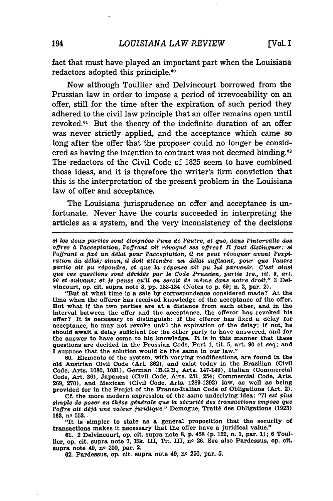fact that must have played an important part when the Louisiana redactors adopted this principle.<sup>60</sup>

Now although Toullier and Delvincourt borrowed from the Prussian law in order to impose a period of irrevocability on an offer, still for the time after the expiration of such period they adhered to the civil law principle that an offer remains open until revoked.<sup>61</sup> But the theory of the indefinite duration of an offer was never strictly applied, and the acceptance which came so long after the offer that the proposer could no longer be considered as having the intention to contract was not deemed binding.<sup>62</sup> The redactors of the Civil Code of 1825 seem to have combined these ideas, and it is therefore the writer's firm conviction that this is the interpretation of the present problem in the Louisiana law of offer and acceptance.

The Louisiana jurisprudence on offer and acceptance is unfortunate. Never have the courts succeeded in interpreting the articles as a system, and the very inconsistency of the decisions

"But at what time is a sale by correspondence considered made? At the time when the offeror has received knowledge of the acceptance of the offer. But what if the two parties are at a distance from each other, and in the interval between the offer and the acceptance, the offeror has revoked his offer? It Is necessary to distinguish: if the offeror has fixed a delay for acceptance, he may not revoke until the expiration of the delay; if not, he should await a delay sufficient for the other party to have answered, and for the answer to have come to his knowledge. It Is In this manner that these questions are decided in the Prussian Code, Part 1, tit. **5,** art. 90 et seq; and  $\overline{\mathbf{I}}$  suppose that the solution would be the same in our law."

**60.** Elements of the system, with varying modifications, are found in the old Austrian Civil Code (Art. **862),** and exist today in the Brazilian (Civil Code, Arts. 1080, 1081), German (B.G.B., Arts. 147-149), Italian (Commercial Code, Art. 36), Japanese (Civil Code, Arts. 251, 254; Commercial Code, Arts. 269, 270), and Mexican (Civil Code, Arts. 1289-1292) law, as well as being provided for in the Projet of the Franco-Italian Code of Obligations (Art. 2).

**Cf.** the more modern expression of the same underlying idea: *'II est plus* simple de poser en thèse générale que la sécurité des transactions impose que *l'offre ait ddj4 une valeur Juridique."* Demogue, Trait6 des Obligations **(1923) 163,** no **553.**

"It **Is** simpler to state as a general proposition that the security of transactions makes it necessary that the offer have a juridical value."

**61.** 2 Delvincourt, op. cit. supra note **8, p.** 458 **(p.** 122, n. **1,** par. **1); 6** Toul-Her, op. cit. supra note **7, Bk. III,** Tit. III, no **26.** See also Pardessus, op. cit. supra note 49, no **250,** par. 2.

**62.** Pardessus, op. cit. supra note 49, no **250,** par. **5.**

*s4 les deux parties sont dloigndes l'une de I'autre, et que, dans Fintervalle des offres* **4** *l'acceptation, P'offrant aft rdvoqu6 ses offres? Il faut distinguer: si l'offrant a fixé un délai pour l'acceptation, il ne peut révoquer avant l'expiration du ddlai; sinon, il dolt attendre un ddlai suffisant, pour quo l'autre* partie ait pu répondre, et que la réponse ait pu lui parvenir. C'est ainsi *que ces questions sont ddcidds par le Code Prussien, partie Ire., tit. 5, art. 90 et suivans; et je pense qu'4l en seroit de mdme dane notre droit."* **3** Delvincourt, op. cit. supra note **8,** pp. 133-134 (Notes to p. 69; n. 2, par. 2).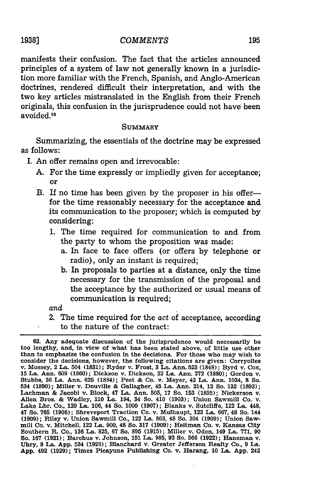#### *COMMENTS*

manifests their confusion. The fact that the articles announced principles of a system of law not generally known in a jurisdiction more familiar with the French, Spanish, and Anglo-American doctrines, rendered difficult their interpretation, and with the two key articles mistranslated in the English from their French originals, this confusion in the jurisprudence could not have been avoided.<sup>63</sup>

#### **SUMMARY**

Summarizing, the essentials of the doctrine may be expressed as follows:

- I. An offer remains open and irrevocable:
	- A. For the time expressly or impliedly given for acceptance; or
	- B. If no time has been given by the proposer in his offerfor the time reasonably necessary for the acceptance and its communication to the proposer; which is computed **by** considering:
		- 1. The time required for communication to and from the party to whom the proposition was made:
			- a. In face to face offers (or offers **by** telephone or radio), only an instant is required;
			- **b.** In proposals to parties at a distance, only the time necessary for the transmission of the proposal and the acceptance **by** the authorized or usual means of communication is required;

and

2. The time required for the act of acceptance, according to the nature of the contract:

## **19381**

**<sup>63.</sup> Any** adequate discussion of the jurisprudence would necessarily be **too** lengthy, and, in view of what has been stated above, of little use other than to emphasize the confusion in the decisions. For those who may wish to consider the decisions, however, the following citations are given: Corryolles **<sup>15</sup>**La. Ann. **609 (1860);** Dickson v. Dickson, **32** La. Ann. **272 (1880);** Gordon v. Stubbs, **36** La. Ann. **625 (1884);** Peet **&** Co. v. Meyer, 42 La. Ann. 1034, **8** So. 534 **(1890);** Miller v. Douville **&** Gallagher, 45 La. Ann. 214, 12 So. **132 (1893);** Lachman & Jacobi v. Block, 47 La. Ann. 505, 17 So. 153 (1895); Nickerson v. Allen Bros. & Wadley, 110 La. 194, 34 So. 410 (1903); Union Sawmill Co. v. Lake Lbr. Co., 120 La. 106, 44 So. 1000 (1907); Blanks v. Sutcliffe, 12 47 So. **765 (1908);** Shreveport Traction Co. v. Mulhaupt, 122 La. **667,** 48 So. 144 **(1909);** Riley v. Union Sawmill Co., 122 La. **863,** 48 So. 304 **(1909);** Union Sawmill Co. v. Mitchell, 122 La. **900,** 48 So. **317 (1909);** Heitman Co. v. Kansas City Southern R. Co., **136** La. **825, 67** So. **895 (1915);** Miller v. Oden, 149 La. 771, **90** So. **167 (1921);** Barchus v. Johnson, **151** La. **985, 92** So. **566 (1922);** Haneman v. Uhry, **8** La. **App.** 534 **(1928);** Blanchard v. Greater Jefferson Realty Co., **9** La. **App.** 492 **(1929);** Times Picayune Publishing Co. v. Harang, 10 La. **App.** 242